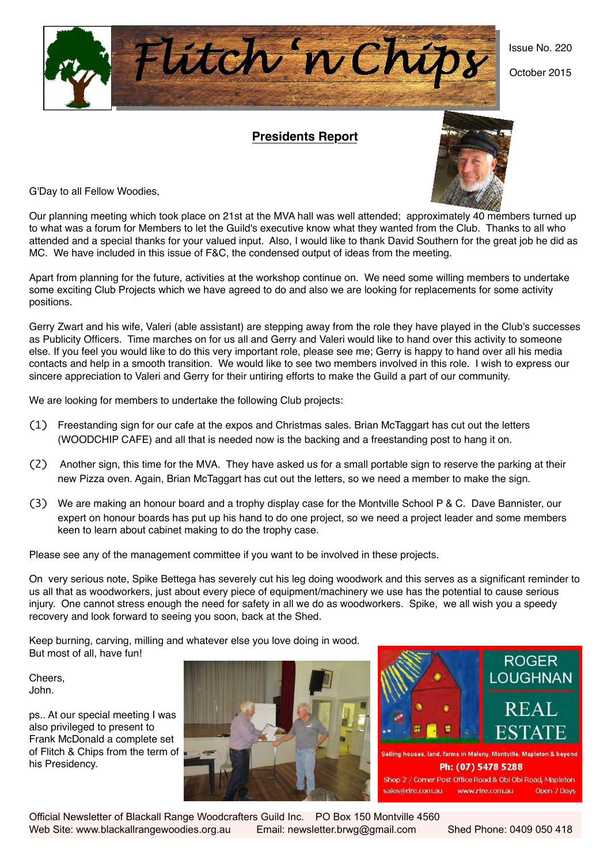Flútch 'n Chip!

**Presidents Report**



October 2015

G'Day to all Fellow Woodies,

Our planning meeting which took place on 21st at the MVA hall was well attended; approximately 40 members turned up to what was a forum for Members to let the Guild's executive know what they wanted from the Club. Thanks to all who attended and a special thanks for your valued input. Also, I would like to thank David Southern for the great job he did as MC. We have included in this issue of F&C, the condensed output of ideas from the meeting.

Apart from planning for the future, activities at the workshop continue on. We need some willing members to undertake some exciting Club Projects which we have agreed to do and also we are looking for replacements for some activity positions.

Gerry Zwart and his wife, Valeri (able assistant) are stepping away from the role they have played in the Club's successes as Publicity Officers. Time marches on for us all and Gerry and Valeri would like to hand over this activity to someone else. If you feel you would like to do this very important role, please see me; Gerry is happy to hand over all his media contacts and help in a smooth transition. We would like to see two members involved in this role. I wish to express our sincere appreciation to Valeri and Gerry for their untiring efforts to make the Guild a part of our community.

We are looking for members to undertake the following Club projects:

- (1) Freestanding sign for our cafe at the expos and Christmas sales. Brian McTaggart has cut out the letters (WOODCHIP CAFE) and all that is needed now is the backing and a freestanding post to hang it on.
- (2) Another sign, this time for the MVA. They have asked us for a small portable sign to reserve the parking at their new Pizza oven. Again, Brian McTaggart has cut out the letters, so we need a member to make the sign.
- (3) We are making an honour board and a trophy display case for the Montville School P & C. Dave Bannister, our expert on honour boards has put up his hand to do one project, so we need a project leader and some members keen to learn about cabinet making to do the trophy case.

Please see any of the management committee if you want to be involved in these projects.

On very serious note, Spike Bettega has severely cut his leg doing woodwork and this serves as a significant reminder to us all that as woodworkers, just about every piece of equipment/machinery we use has the potential to cause serious injury. One cannot stress enough the need for safety in all we do as woodworkers. Spike, we all wish you a speedy recovery and look forward to seeing you soon, back at the Shed.

Keep burning, carving, milling and whatever else you love doing in wood. But most of all, have fun!

Cheers, John.

ps.. At our special meeting I was also privileged to present to Frank McDonald a complete set of Flitch & Chips from the term of his Presidency.





Shop 2 / Corner Post Office Road & Obi Obi Road, Mapleton www.rlre.com.au Open 7 Days sales@rlre.com.au

Official Newsletter of Blackall Range Woodcrafters Guild Inc. PO Box 150 Montville 4560 Web Site: www.blackallrangewoodies.org.au Email: newsletter.brwg@gmail.com Shed Phone: 0409 050 418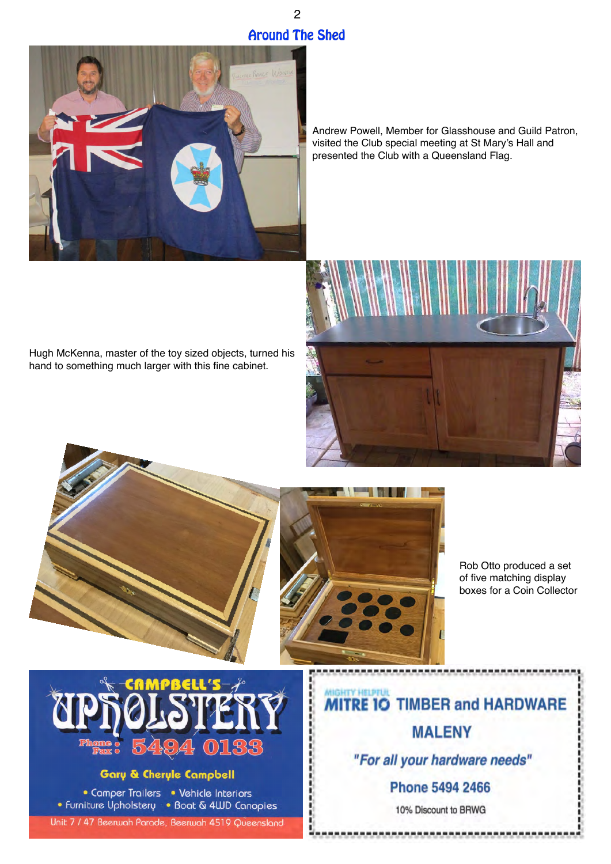# 2 **Around The Shed**



Andrew Powell, Member for Glasshouse and Guild Patron, visited the Club special meeting at St Mary's Hall and presented the Club with a Queensland Flag.

Hugh McKenna, master of the toy sized objects, turned his hand to something much larger with this fine cabinet.





ţ

Rob Otto produced a set of five matching display boxes for a Coin Collector



### **Gary & Cheryle Campbell**

• Camper Trailers • Vehicle Interiors • Furniture Upholstery • Boat & 4WD Canopies

Unit 7 / 47 Beerwah Parade, Beerwah 4519 Queensland

**TRE 10 TIMBER and HARDWARE MALENY** "For all your hardware needs"

**Phone 5494 2466** 

10% Discount to BRWG

-----------------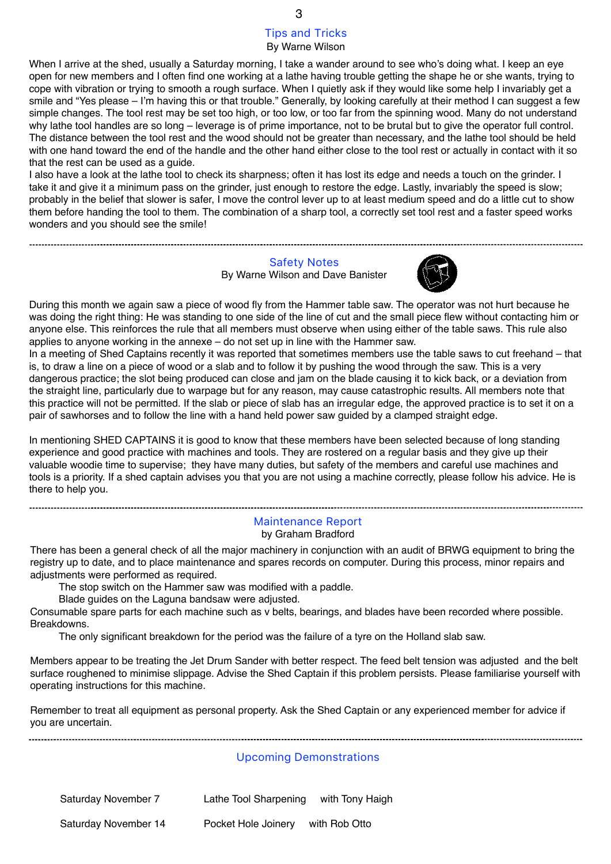#### Tips and Tricks By Warne Wilson

When I arrive at the shed, usually a Saturday morning, I take a wander around to see who's doing what. I keep an eye open for new members and I often find one working at a lathe having trouble getting the shape he or she wants, trying to cope with vibration or trying to smooth a rough surface. When I quietly ask if they would like some help I invariably get a smile and "Yes please – I'm having this or that trouble." Generally, by looking carefully at their method I can suggest a few simple changes. The tool rest may be set too high, or too low, or too far from the spinning wood. Many do not understand why lathe tool handles are so long – leverage is of prime importance, not to be brutal but to give the operator full control. The distance between the tool rest and the wood should not be greater than necessary, and the lathe tool should be held with one hand toward the end of the handle and the other hand either close to the tool rest or actually in contact with it so that the rest can be used as a guide.

I also have a look at the lathe tool to check its sharpness; often it has lost its edge and needs a touch on the grinder. I take it and give it a minimum pass on the grinder, just enough to restore the edge. Lastly, invariably the speed is slow; probably in the belief that slower is safer, I move the control lever up to at least medium speed and do a little cut to show them before handing the tool to them. The combination of a sharp tool, a correctly set tool rest and a faster speed works wonders and you should see the smile!

### Safety Notes

By Warne Wilson and Dave Banister



During this month we again saw a piece of wood fly from the Hammer table saw. The operator was not hurt because he was doing the right thing: He was standing to one side of the line of cut and the small piece flew without contacting him or anyone else. This reinforces the rule that all members must observe when using either of the table saws. This rule also applies to anyone working in the annexe – do not set up in line with the Hammer saw.

In a meeting of Shed Captains recently it was reported that sometimes members use the table saws to cut freehand – that is, to draw a line on a piece of wood or a slab and to follow it by pushing the wood through the saw. This is a very dangerous practice; the slot being produced can close and jam on the blade causing it to kick back, or a deviation from the straight line, particularly due to warpage but for any reason, may cause catastrophic results. All members note that this practice will not be permitted. If the slab or piece of slab has an irregular edge, the approved practice is to set it on a pair of sawhorses and to follow the line with a hand held power saw guided by a clamped straight edge.

In mentioning SHED CAPTAINS it is good to know that these members have been selected because of long standing experience and good practice with machines and tools. They are rostered on a regular basis and they give up their valuable woodie time to supervise; they have many duties, but safety of the members and careful use machines and tools is a priority. If a shed captain advises you that you are not using a machine correctly, please follow his advice. He is there to help you.

#### Maintenance Report by Graham Bradford

There has been a general check of all the major machinery in conjunction with an audit of BRWG equipment to bring the registry up to date, and to place maintenance and spares records on computer. During this process, minor repairs and adjustments were performed as required.

The stop switch on the Hammer saw was modified with a paddle.

Blade guides on the Laguna bandsaw were adjusted.

Consumable spare parts for each machine such as v belts, bearings, and blades have been recorded where possible. Breakdowns.

The only significant breakdown for the period was the failure of a tyre on the Holland slab saw.

Members appear to be treating the Jet Drum Sander with better respect. The feed belt tension was adjusted and the belt surface roughened to minimise slippage. Advise the Shed Captain if this problem persists. Please familiarise yourself with operating instructions for this machine.

Remember to treat all equipment as personal property. Ask the Shed Captain or any experienced member for advice if you are uncertain.

#### Upcoming Demonstrations

Saturday November 7 Lathe Tool Sharpening with Tony Haigh

Saturday November 14 Pocket Hole Joinery with Rob Otto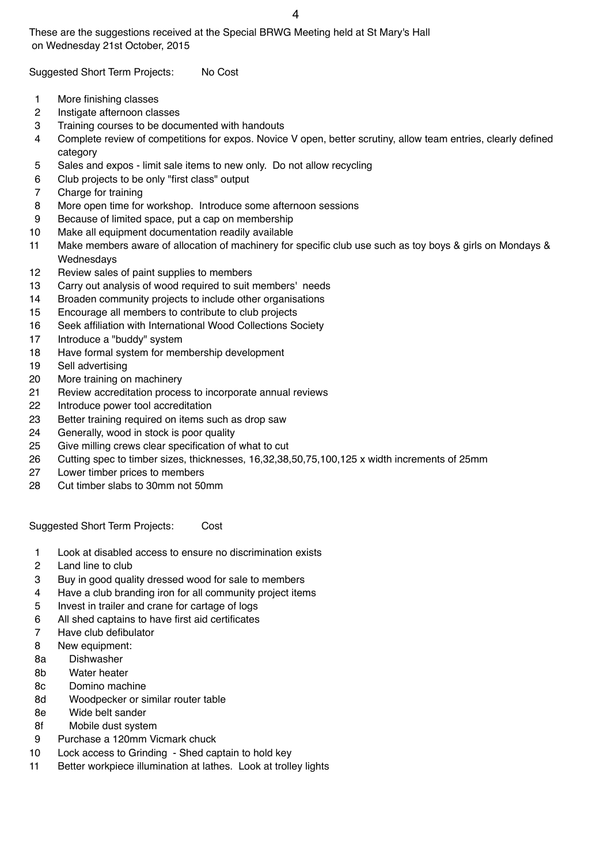These are the suggestions received at the Special BRWG Meeting held at St Mary's Hall on Wednesday 21st October, 2015

Suggested Short Term Projects: No Cost

- 1 More finishing classes
- 2 Instigate afternoon classes
- 3 Training courses to be documented with handouts
- 4 Complete review of competitions for expos. Novice V open, better scrutiny, allow team entries, clearly defined category
- 5 Sales and expos limit sale items to new only. Do not allow recycling
- 6 Club projects to be only "first class" output
- 7 Charge for training
- 8 More open time for workshop. Introduce some afternoon sessions
- 9 Because of limited space, put a cap on membership
- 10 Make all equipment documentation readily available
- 11 Make members aware of allocation of machinery for specific club use such as toy boys & girls on Mondays & Wednesdays
- 12 Review sales of paint supplies to members
- 13 Carry out analysis of wood required to suit members' needs
- 14 Broaden community projects to include other organisations
- 15 Encourage all members to contribute to club projects
- 16 Seek affiliation with International Wood Collections Society
- 17 Introduce a "buddy" system
- 18 Have formal system for membership development
- 19 Sell advertising
- 20 More training on machinery
- 21 Review accreditation process to incorporate annual reviews
- 22 Introduce power tool accreditation
- 23 Better training required on items such as drop saw
- 24 Generally, wood in stock is poor quality
- 25 Give milling crews clear specification of what to cut
- 26 Cutting spec to timber sizes, thicknesses, 16,32,38,50,75,100,125 x width increments of 25mm
- 27 Lower timber prices to members
- 28 Cut timber slabs to 30mm not 50mm

Suggested Short Term Projects: Cost

- 1 Look at disabled access to ensure no discrimination exists
- 2 Land line to club
- 3 Buy in good quality dressed wood for sale to members
- 4 Have a club branding iron for all community project items
- 5 Invest in trailer and crane for cartage of logs
- 6 All shed captains to have first aid certificates
- 7 Have club defibulator
- 8 New equipment:
- 8a Dishwasher
- 8b Water heater
- 8c Domino machine
- 8d Woodpecker or similar router table
- 8e Wide belt sander
- 8f Mobile dust system
- 9 Purchase a 120mm Vicmark chuck
- 10 Lock access to Grinding Shed captain to hold key
- 11 Better workpiece illumination at lathes. Look at trolley lights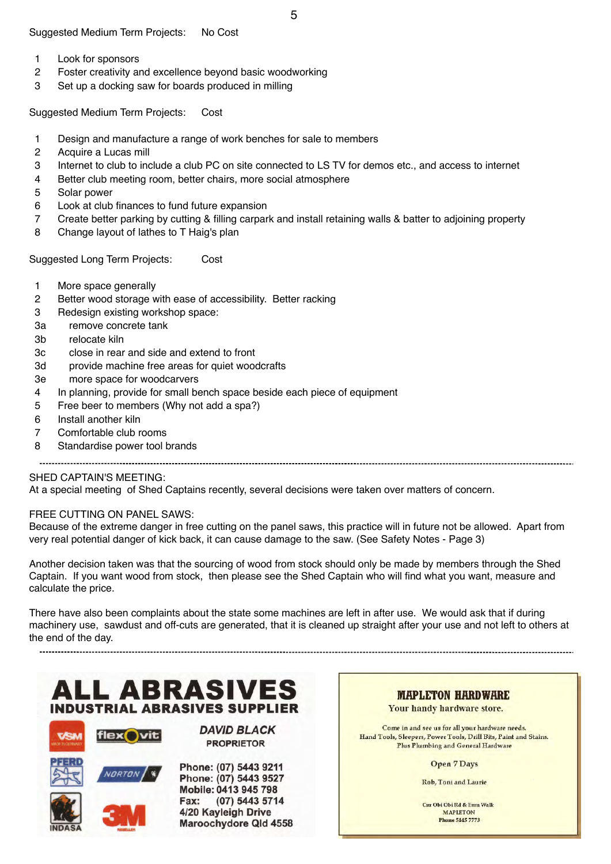- 1 Look for sponsors
- 2 Foster creativity and excellence beyond basic woodworking
- 3 Set up a docking saw for boards produced in milling

Suggested Medium Term Projects: Cost

- 1 Design and manufacture a range of work benches for sale to members
- 2 Acquire a Lucas mill
- 3 Internet to club to include a club PC on site connected to LS TV for demos etc., and access to internet
- 4 Better club meeting room, better chairs, more social atmosphere
- 5 Solar power
- 6 Look at club finances to fund future expansion
- 7 Create better parking by cutting & filling carpark and install retaining walls & batter to adjoining property
- 8 Change layout of lathes to T Haig's plan

Suggested Long Term Projects: Cost

- 1 More space generally
- 2 Better wood storage with ease of accessibility. Better racking
- 3 Redesign existing workshop space:
- 3a remove concrete tank
- 3b relocate kiln
- 3c close in rear and side and extend to front
- 3d provide machine free areas for quiet woodcrafts
- 3e more space for woodcarvers
- 4 In planning, provide for small bench space beside each piece of equipment
- 5 Free beer to members (Why not add a spa?)
- 6 Install another kiln
- 7 Comfortable club rooms
- 8 Standardise power tool brands

## SHED CAPTAIN'S MEETING:

At a special meeting of Shed Captains recently, several decisions were taken over matters of concern.

#### FREE CUTTING ON PANEL SAWS:

Because of the extreme danger in free cutting on the panel saws, this practice will in future not be allowed. Apart from very real potential danger of kick back, it can cause damage to the saw. (See Safety Notes - Page 3)

Another decision taken was that the sourcing of wood from stock should only be made by members through the Shed Captain. If you want wood from stock, then please see the Shed Captain who will find what you want, measure and calculate the price.

There have also been complaints about the state some machines are left in after use. We would ask that if during machinery use, sawdust and off-cuts are generated, that it is cleaned up straight after your use and not left to others at the end of the day.





**DAVID BLACK PROPRIETOR** 

Phone: (07) 5443 9211 Phone: (07) 5443 9527 Mobile: 0413 945 798 Fax: (07) 5443 5714 4/20 Kayleigh Drive Maroochydore Qld 4558

**MAPLETON HARDWARE** Your handy hardware store.

Come in and see us for all your hardware needs. Hand Tools, Sleepers, Power Tools, Drill Bits, Paint and Stains. Plus Plumbing and General Hardware

**Open 7 Days** 

Rob, Toni and Laurie

Cnr Obi Obi Rd & Emu Walk MAPLETON Phone 5445 7773